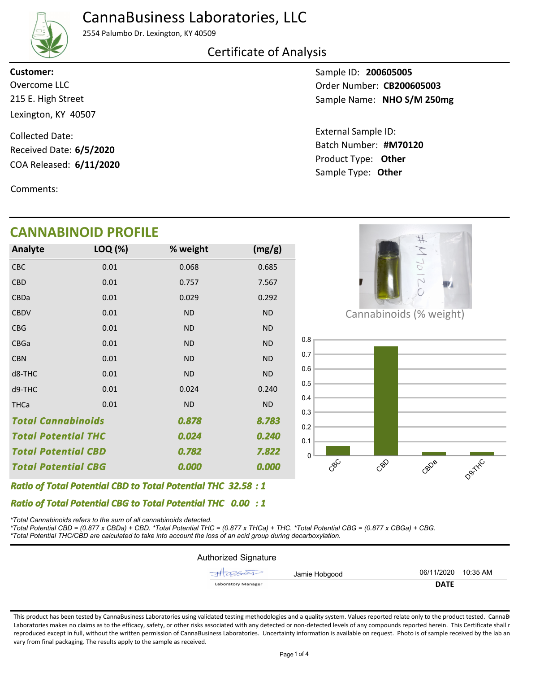## CannaBusiness Laboratories, LLC



2554 Palumbo Dr. Lexington, KY 40509

### Certificate of Analysis

215 E. High Street Lexington, KY 40507 **Customer:**

COA Released: 6/11/2020 Collected Date: Received Date: **6/5/2020**

Comments:

## **CANNABINOID PROFILE**

| Analyte                    | LOQ (%) | % weight  | (mg/g)    |
|----------------------------|---------|-----------|-----------|
| <b>CBC</b>                 | 0.01    | 0.068     | 0.685     |
| <b>CBD</b>                 | 0.01    | 0.757     | 7.567     |
| CBDa                       | 0.01    | 0.029     | 0.292     |
| <b>CBDV</b>                | 0.01    | <b>ND</b> | <b>ND</b> |
| <b>CBG</b>                 | 0.01    | <b>ND</b> | <b>ND</b> |
| <b>CBGa</b>                | 0.01    | <b>ND</b> | <b>ND</b> |
| <b>CBN</b>                 | 0.01    | <b>ND</b> | <b>ND</b> |
| d8-THC                     | 0.01    | <b>ND</b> | <b>ND</b> |
| d9-THC                     | 0.01    | 0.024     | 0.240     |
| <b>THCa</b>                | 0.01    | <b>ND</b> | <b>ND</b> |
| <b>Total Cannabinoids</b>  |         | 0.878     | 8.783     |
| <b>Total Potential THC</b> |         | 0.024     | 0.240     |
| <b>Total Potential CBD</b> |         | 0.782     | 7.822     |
| <b>Total Potential CBG</b> |         | 0.000     | 0.000     |

Sample ID: **200605005** Sample Name: NHO S/M 250mg **CALC CONSERVERSE CONSERVERSE EXECUTE CONSERVERSE CONSERVERSION CONSERVERSION CONSERVERSION CONSERVERSION CONSERVERSION CONSERVERSION CONSERVERSION CONSERVERSION CONSERVERSION CONSERVERSION CONSERVERSION CONSERVERSION CONS** 

> Product Type: **Other 6/11/2020** Batch Number: #M70120 External Sample ID: Sample Type: **Other**



Cannabinoids (% weight)



*32.58 Ratio of Total Potential CBD to Total Potential THC : 1*

*0.00 Ratio of Total Potential CBG to Total Potential THC : 1*

*\*Total Cannabinoids refers to the sum of all cannabinoids detected.*

*\*Total Potential CBD = (0.877 x CBDa) + CBD. \*Total Potential THC = (0.877 x THCa) + THC. \*Total Potential CBG = (0.877 x CBGa) + CBG. \*Total Potential THC/CBD are calculated to take into account the loss of an acid group during decarboxylation.*

| <b>Authorized Signature</b> |                     |  |
|-----------------------------|---------------------|--|
| JA286001<br>Jamie Hobgood   | 06/11/2020 10:35 AM |  |
| <b>Laboratory Manager</b>   | <b>DATE</b>         |  |

This product has been tested by CannaBusiness Laboratories using validated testing methodologies and a quality system. Values reported relate only to the product tested. CannaBi Laboratories makes no claims as to the efficacy, safety, or other risks associated with any detected or non-detected levels of any compounds reported herein. This Certificate shall r reproduced except in full, without the written permission of CannaBusiness Laboratories. Uncertainty information is available on request. Photo is of sample received by the lab an vary from final packaging. The results apply to the sample as received.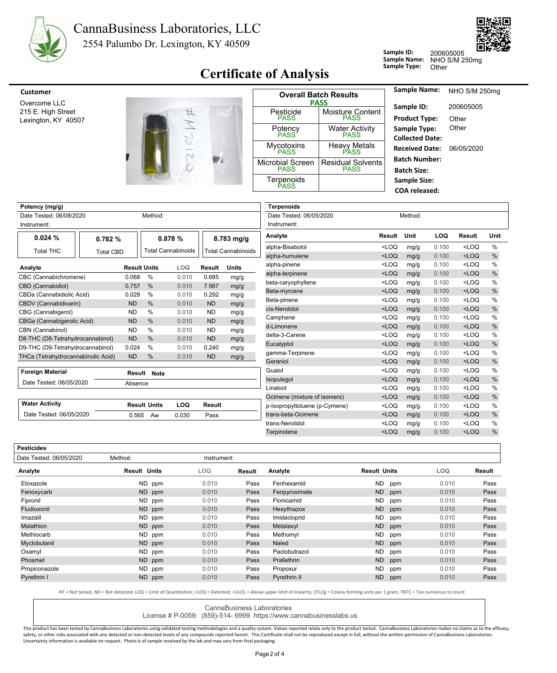

#### 2554 Palumbo Dr. Lexington, KY 40509 CannaBusiness Laboratories, LLC



**Sample ID:**

Sample Name: NHO S/M 250mg

200605005

## **Certificate of Analysis** Sample Type: Other

| <b>Customer</b>                                           |                             |                                        | <b>Overall Batch Results</b>                   | Sample Name:                                                    | NHO S/M 250mg      |  |
|-----------------------------------------------------------|-----------------------------|----------------------------------------|------------------------------------------------|-----------------------------------------------------------------|--------------------|--|
| Overcome LLC<br>215 E. High Street<br>Lexington, KY 40507 |                             | Pesticide<br><b>PASS</b>               | <b>PASS</b><br>Moisture Content<br><b>PASS</b> | Sample ID:<br><b>Product Type:</b>                              | 200605005<br>Other |  |
|                                                           |                             | Potency<br><b>PASS</b>                 | <b>Water Activity</b><br><b>PASS</b>           | Sample Type:<br><b>Collected Date:</b><br><b>Received Date:</b> | Other              |  |
|                                                           | <b>CONTRACTOR</b><br>$\sim$ | <b>Mycotoxins</b><br><b>PASS</b>       | <b>Heavy Metals</b><br><b>PASS</b>             |                                                                 | 06/05/2020         |  |
|                                                           |                             | <b>Microbial Screen</b><br><b>PASS</b> | <b>Residual Solvents</b><br><b>PASS</b>        | <b>Batch Number:</b><br><b>Batch Size:</b>                      |                    |  |
|                                                           |                             | Terpenoids<br><b>PASS</b>              |                                                | Sample Size:<br><b>COA</b> released:                            |                    |  |

| Potency (mg/g)                                |                                    |           |                     |                         |                         |                           | <b>Terpenoids</b>             |                                                                                       |      |            |         |      |
|-----------------------------------------------|------------------------------------|-----------|---------------------|-------------------------|-------------------------|---------------------------|-------------------------------|---------------------------------------------------------------------------------------|------|------------|---------|------|
|                                               | Method:<br>Date Tested: 06/08/2020 |           |                     |                         | Date Tested: 06/05/2020 |                           | Method:                       |                                                                                       |      |            |         |      |
| Instrument:                                   |                                    |           |                     |                         | Instrument:             |                           |                               |                                                                                       |      |            |         |      |
| 0.024%                                        | 0.782%                             |           |                     | 0.878 %<br>$8.783$ mg/g |                         |                           | Analyte                       | Result                                                                                | Unit | <b>LOQ</b> | Result  | Unit |
| <b>Total THC</b>                              | <b>Total CBD</b>                   |           |                     | Total Cannabinoids      |                         | <b>Total Cannabinoids</b> | alpha-Bisabolol               | $<$ LOQ                                                                               | mg/g | 0.100      | $<$ LOQ | %    |
|                                               |                                    |           |                     |                         |                         |                           | alpha-humulene                | $<$ LOQ                                                                               | mg/g | 0.100      | $<$ LOQ | $\%$ |
| Analyte                                       |                                    |           | <b>Result Units</b> | LOQ                     | <b>Result</b>           | <b>Units</b>              | alpha-pinene                  | $<$ LOQ                                                                               | mg/g | 0.100      | $<$ LOQ | %    |
| CBC (Cannabichromene)                         |                                    | 0.068     | %                   | 0.010                   | 0.685                   | mg/g                      | alpha-terpinene               | $<$ LOQ                                                                               | mg/g | 0.100      | $<$ LOQ | %    |
| CBD (Cannabidiol)                             |                                    | 0.757     | $\%$                | 0.010                   | 7.567                   | mg/g                      | beta-caryophyllene            | <loq< td=""><td>mg/g</td><td>0.100</td><td><math>&lt;</math>LOQ</td><td>%</td></loq<> | mg/g | 0.100      | $<$ LOQ | %    |
| CBDa (Cannabidiolic Acid)                     |                                    | 0.029     | %                   | 0.010                   | 0.292                   | mg/g                      | Beta-myrcene                  | $<$ LOQ                                                                               | mg/g | 0.100      | $<$ LOQ | $\%$ |
| CBDV (Cannabidivarin)                         |                                    | <b>ND</b> | $\frac{0}{0}$       | 0.010                   | <b>ND</b>               | mg/g                      | Beta-pinene                   | $<$ LOQ                                                                               | mg/g | 0.100      | $<$ LOQ | %    |
| CBG (Cannabigerol)                            |                                    | <b>ND</b> | %                   | 0.010                   | <b>ND</b>               | mg/g                      | cis-Nerolidol                 | $<$ LOQ                                                                               | mg/g | 0.100      | $<$ LOQ | %    |
| CBGa (Cannabigerolic Acid)                    |                                    | <b>ND</b> | $\%$                | 0.010                   | <b>ND</b>               | mg/g                      | Camphene                      | $<$ LOQ                                                                               | mg/g | 0.100      | $<$ LOQ | $\%$ |
| CBN (Cannabinol)                              |                                    | <b>ND</b> | %                   | 0.010                   | <b>ND</b>               | mg/g                      | d-Limonene                    | $<$ LOQ                                                                               | mg/g | 0.100      | $<$ LOQ | %    |
| D8-THC (D8-Tetrahydrocannabinol)<br><b>ND</b> |                                    |           | %                   | 0.010                   | <b>ND</b>               | mg/g                      | delta-3-Carene                | $<$ LOQ                                                                               | mg/g | 0.100      | $<$ LOQ | %    |
| D9-THC (D9-Tetrahydrocannabinol)              |                                    | 0.024     | $\%$                | 0.010                   | 0.240                   | mg/g                      | Eucalyptol                    | $<$ LOQ                                                                               | mg/g | 0.100      | $<$ LOQ | %    |
| THCa (Tetrahydrocannabinolic Acid)            |                                    | <b>ND</b> | %                   | 0.010                   | <b>ND</b>               | mg/g                      | gamma-Terpinene               | <loq< td=""><td>mg/g</td><td>0.100</td><td><math>&lt;</math>LOQ</td><td>%</td></loq<> | mg/g | 0.100      | $<$ LOQ | %    |
|                                               |                                    |           |                     |                         |                         |                           | Geraniol                      | $<$ LOQ                                                                               | mg/g | 0.100      | $<$ LOQ | $\%$ |
| <b>Foreign Material</b>                       |                                    |           | Result Note         |                         |                         |                           | Guaiol                        | $<$ LOQ                                                                               | mg/g | 0.100      | $<$ LOQ | %    |
| Date Tested: 06/05/2020                       |                                    | Absence   |                     |                         |                         |                           | Isopulegol                    | $<$ LOQ                                                                               | mg/g | 0.100      | $<$ LOQ | %    |
|                                               |                                    |           |                     |                         |                         |                           | Linalool                      | $<$ LOQ                                                                               | mg/g | 0.100      | $<$ LOQ | %    |
|                                               |                                    |           |                     |                         |                         |                           | Ocimene (mixture of isomers)  | $<$ LOQ                                                                               | mg/g | 0.100      | $<$ LOQ | $\%$ |
| <b>Water Activity</b>                         |                                    |           | <b>Result Units</b> | LOQ                     | Result                  |                           | p-Isopropyltoluene (p-Cymene) | $<$ LOQ                                                                               | mg/g | 0.100      | $<$ LOQ | $\%$ |
| Date Tested: 06/05/2020                       |                                    | 0.565     | Aw                  | 0.030                   | Pass                    |                           | trans-beta-Ocimene            | $<$ LOQ                                                                               | mg/g | 0.100      | $<$ LOQ | %    |
|                                               |                                    |           |                     |                         |                         |                           | trans-Nerolidol               | $<$ LOQ                                                                               | mg/g | 0.100      | $<$ LOQ | %    |
|                                               |                                    |           |                     |                         |                         |                           | Terpinolene                   | $<$ LOQ                                                                               | mg/g | 0.100      | $<$ LOQ | %    |

| <b>Pesticides</b>       |                     |             |        |               |                     |       |        |
|-------------------------|---------------------|-------------|--------|---------------|---------------------|-------|--------|
| Date Tested: 06/05/2020 | Method:             | Instrument: |        |               |                     |       |        |
| Analyte                 | <b>Result Units</b> | LOQ.        | Result | Analyte       | <b>Result Units</b> | LOQ   | Result |
| Etoxazole               | ND ppm              | 0.010       | Pass   | Fenhexamid    | ND.<br>ppm          | 0.010 | Pass   |
| Fenoxycarb              | ND ppm              | 0.010       | Pass   | Fenpyroximate | <b>ND</b><br>ppm    | 0.010 | Pass   |
| Fipronil                | ND ppm              | 0.010       | Pass   | Flonicamid    | ND.<br>ppm          | 0.010 | Pass   |
| Fludioxonil             | ND ppm              | 0.010       | Pass   | Hexythiazox   | <b>ND</b><br>ppm    | 0.010 | Pass   |
| Imazalil                | ND ppm              | 0.010       | Pass   | Imidacloprid  | ND.<br>ppm          | 0.010 | Pass   |
| <b>Malathion</b>        | ND ppm              | 0.010       | Pass   | Metalaxyl     | <b>ND</b><br>ppm    | 0.010 | Pass   |
| Methiocarb              | ND ppm              | 0.010       | Pass   | Methomyl      | <b>ND</b><br>ppm    | 0.010 | Pass   |
| Myclobutanil            | ND ppm              | 0.010       | Pass   | Naled         | <b>ND</b><br>ppm    | 0.010 | Pass   |
| Oxamyl                  | ND ppm              | 0.010       | Pass   | Paclobutrazol | <b>ND</b><br>ppm    | 0.010 | Pass   |
| Phosmet                 | ND ppm              | 0.010       | Pass   | Prallethrin   | ND ppm              | 0.010 | Pass   |
| Propiconazole           | ND ppm              | 0.010       | Pass   | Propoxur      | ND.<br>ppm          | 0.010 | Pass   |
| Pyrethrin I             | ND ppm              | 0.010       | Pass   | Pyrethrin II  | <b>ND</b><br>ppm    | 0.010 | Pass   |

NT = Not tested, ND = Not detected; LOQ = Limit of Quantitation; <LOQ = Detected; >ULOL = Above upper limit of linearity; CFU/g = Colony forming units per 1 gram; TNTC = Too numerous to count

CannaBusiness Laboratories

License # P-0059: (859)-514- 6999 https://www.cannabusinesslabs.us

This product has been tested by CannaBusiness Laboratories using validated testing methodologies and a quality system. Values reported relate only to the product tested. CannaBusiness Laboratories makes no claims as to the safety, or other risks associated with any detected or non-detected levels of any compounds reported herein. This Certificate shall not be reproduced except in full, without the written permission of CannaBusiness Laborato Uncertainty information is available on request. Photo is of sample received by the lab and may vary from final packaging.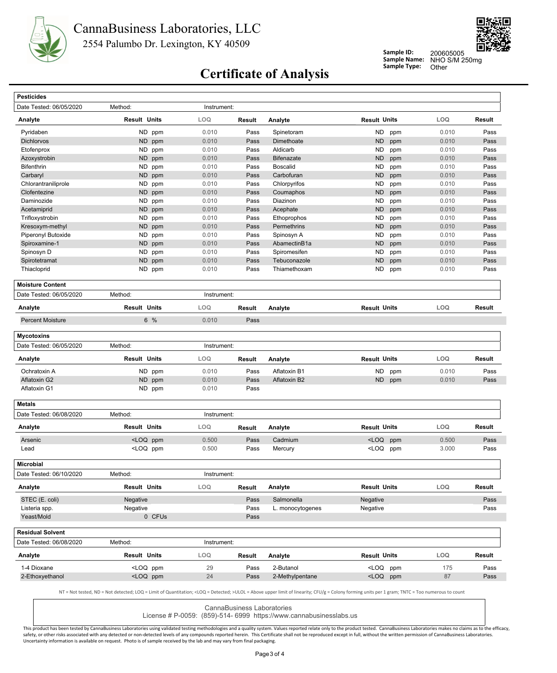



**Sample ID: Sample Name:**

NHO S/M 250mg 200605005

# **Certificate of Analysis** Sample Type: Other

| Date Tested: 06/05/2020<br>Analyte<br>Pyridaben<br><b>Dichlorvos</b><br>Etofenprox<br>Azoxystrobin<br><b>Bifenthrin</b><br>Carbaryl<br>Chlorantraniliprole<br>Clofentezine<br>Daminozide<br>Acetamiprid<br>Trifloxystrobin<br>Kresoxym-methyl<br>Piperonyl Butoxide<br>Spiroxamine-1<br>Spinosyn D<br>Spirotetramat<br>Thiacloprid<br><b>Moisture Content</b><br>Date Tested: 06/05/2020<br>Analyte<br><b>Percent Moisture</b><br><b>Mycotoxins</b> | Method:<br><b>Result Units</b><br>ND.<br>ppm<br>ND<br>ppm<br>ND ppm<br><b>ND</b><br>ppm<br>ND.<br>ppm<br>ND<br>ppm<br>ND.<br>ppm<br>ND ppm<br>ND.<br>ppm<br><b>ND</b><br>ppm<br>ND.<br>ppm<br>ND<br>ppm<br>ND.<br>ppm<br>ND<br>ppm<br><b>ND</b><br>ppm<br><b>ND</b><br>ppm<br>ND ppm<br>Method:<br><b>Result Units</b><br>6 % | Instrument:<br>LOQ<br>0.010<br>0.010<br>0.010<br>0.010<br>0.010<br>0.010<br>0.010<br>0.010<br>0.010<br>0.010<br>0.010<br>0.010<br>0.010<br>0.010<br>0.010<br>0.010<br>0.010<br>Instrument:<br>LOQ | Result<br>Pass<br>Pass<br>Pass<br>Pass<br>Pass<br>Pass<br>Pass<br>Pass<br>Pass<br>Pass<br>Pass<br>Pass<br>Pass<br>Pass<br>Pass<br>Pass<br>Pass | Analyte<br>Spinetoram<br>Dimethoate<br>Aldicarb<br><b>Bifenazate</b><br><b>Boscalid</b><br>Carbofuran<br>Chlorpyrifos<br>Coumaphos<br>Diazinon<br>Acephate<br>Ethoprophos<br>Permethrins<br>Spinosyn A<br>AbamectinB1a<br>Spiromesifen<br>Tebuconazole<br>Thiamethoxam | <b>Result Units</b><br><b>ND</b><br>ppm<br><b>ND</b><br>ppm<br><b>ND</b><br>ppm<br><b>ND</b><br>ppm<br><b>ND</b><br>ppm<br><b>ND</b><br>ppm<br><b>ND</b><br>ppm<br><b>ND</b><br>ppm<br><b>ND</b><br>ppm<br><b>ND</b><br>ppm<br><b>ND</b><br>ppm<br><b>ND</b><br>ppm<br><b>ND</b><br>ppm<br><b>ND</b><br>ppm<br><b>ND</b><br>ppm<br><b>ND</b><br>ppm<br>ND<br>ppm | LOQ<br>0.010<br>0.010<br>0.010<br>0.010<br>0.010<br>0.010<br>0.010<br>0.010<br>0.010<br>0.010<br>0.010<br>0.010<br>0.010<br>0.010<br>0.010<br>0.010<br>0.010 | Result<br>Pass<br>Pass<br>Pass<br>Pass<br>Pass<br>Pass<br>Pass<br>Pass<br>Pass<br>Pass<br>Pass<br>Pass<br>Pass<br>Pass<br>Pass<br>Pass<br>Pass |
|-----------------------------------------------------------------------------------------------------------------------------------------------------------------------------------------------------------------------------------------------------------------------------------------------------------------------------------------------------------------------------------------------------------------------------------------------------|-------------------------------------------------------------------------------------------------------------------------------------------------------------------------------------------------------------------------------------------------------------------------------------------------------------------------------|---------------------------------------------------------------------------------------------------------------------------------------------------------------------------------------------------|------------------------------------------------------------------------------------------------------------------------------------------------|------------------------------------------------------------------------------------------------------------------------------------------------------------------------------------------------------------------------------------------------------------------------|------------------------------------------------------------------------------------------------------------------------------------------------------------------------------------------------------------------------------------------------------------------------------------------------------------------------------------------------------------------|--------------------------------------------------------------------------------------------------------------------------------------------------------------|------------------------------------------------------------------------------------------------------------------------------------------------|
|                                                                                                                                                                                                                                                                                                                                                                                                                                                     |                                                                                                                                                                                                                                                                                                                               |                                                                                                                                                                                                   |                                                                                                                                                |                                                                                                                                                                                                                                                                        |                                                                                                                                                                                                                                                                                                                                                                  |                                                                                                                                                              |                                                                                                                                                |
|                                                                                                                                                                                                                                                                                                                                                                                                                                                     |                                                                                                                                                                                                                                                                                                                               |                                                                                                                                                                                                   |                                                                                                                                                |                                                                                                                                                                                                                                                                        |                                                                                                                                                                                                                                                                                                                                                                  |                                                                                                                                                              |                                                                                                                                                |
|                                                                                                                                                                                                                                                                                                                                                                                                                                                     |                                                                                                                                                                                                                                                                                                                               |                                                                                                                                                                                                   |                                                                                                                                                |                                                                                                                                                                                                                                                                        |                                                                                                                                                                                                                                                                                                                                                                  |                                                                                                                                                              |                                                                                                                                                |
|                                                                                                                                                                                                                                                                                                                                                                                                                                                     |                                                                                                                                                                                                                                                                                                                               |                                                                                                                                                                                                   |                                                                                                                                                |                                                                                                                                                                                                                                                                        |                                                                                                                                                                                                                                                                                                                                                                  |                                                                                                                                                              |                                                                                                                                                |
|                                                                                                                                                                                                                                                                                                                                                                                                                                                     |                                                                                                                                                                                                                                                                                                                               |                                                                                                                                                                                                   |                                                                                                                                                |                                                                                                                                                                                                                                                                        |                                                                                                                                                                                                                                                                                                                                                                  |                                                                                                                                                              |                                                                                                                                                |
|                                                                                                                                                                                                                                                                                                                                                                                                                                                     |                                                                                                                                                                                                                                                                                                                               |                                                                                                                                                                                                   |                                                                                                                                                |                                                                                                                                                                                                                                                                        |                                                                                                                                                                                                                                                                                                                                                                  |                                                                                                                                                              |                                                                                                                                                |
|                                                                                                                                                                                                                                                                                                                                                                                                                                                     |                                                                                                                                                                                                                                                                                                                               |                                                                                                                                                                                                   |                                                                                                                                                |                                                                                                                                                                                                                                                                        |                                                                                                                                                                                                                                                                                                                                                                  |                                                                                                                                                              |                                                                                                                                                |
|                                                                                                                                                                                                                                                                                                                                                                                                                                                     |                                                                                                                                                                                                                                                                                                                               |                                                                                                                                                                                                   |                                                                                                                                                |                                                                                                                                                                                                                                                                        |                                                                                                                                                                                                                                                                                                                                                                  |                                                                                                                                                              |                                                                                                                                                |
|                                                                                                                                                                                                                                                                                                                                                                                                                                                     |                                                                                                                                                                                                                                                                                                                               |                                                                                                                                                                                                   |                                                                                                                                                |                                                                                                                                                                                                                                                                        |                                                                                                                                                                                                                                                                                                                                                                  |                                                                                                                                                              |                                                                                                                                                |
|                                                                                                                                                                                                                                                                                                                                                                                                                                                     |                                                                                                                                                                                                                                                                                                                               |                                                                                                                                                                                                   |                                                                                                                                                |                                                                                                                                                                                                                                                                        |                                                                                                                                                                                                                                                                                                                                                                  |                                                                                                                                                              |                                                                                                                                                |
|                                                                                                                                                                                                                                                                                                                                                                                                                                                     |                                                                                                                                                                                                                                                                                                                               |                                                                                                                                                                                                   |                                                                                                                                                |                                                                                                                                                                                                                                                                        |                                                                                                                                                                                                                                                                                                                                                                  |                                                                                                                                                              |                                                                                                                                                |
|                                                                                                                                                                                                                                                                                                                                                                                                                                                     |                                                                                                                                                                                                                                                                                                                               |                                                                                                                                                                                                   |                                                                                                                                                |                                                                                                                                                                                                                                                                        |                                                                                                                                                                                                                                                                                                                                                                  |                                                                                                                                                              |                                                                                                                                                |
|                                                                                                                                                                                                                                                                                                                                                                                                                                                     |                                                                                                                                                                                                                                                                                                                               |                                                                                                                                                                                                   |                                                                                                                                                |                                                                                                                                                                                                                                                                        |                                                                                                                                                                                                                                                                                                                                                                  |                                                                                                                                                              |                                                                                                                                                |
|                                                                                                                                                                                                                                                                                                                                                                                                                                                     |                                                                                                                                                                                                                                                                                                                               |                                                                                                                                                                                                   |                                                                                                                                                |                                                                                                                                                                                                                                                                        |                                                                                                                                                                                                                                                                                                                                                                  |                                                                                                                                                              |                                                                                                                                                |
|                                                                                                                                                                                                                                                                                                                                                                                                                                                     |                                                                                                                                                                                                                                                                                                                               |                                                                                                                                                                                                   |                                                                                                                                                |                                                                                                                                                                                                                                                                        |                                                                                                                                                                                                                                                                                                                                                                  |                                                                                                                                                              |                                                                                                                                                |
|                                                                                                                                                                                                                                                                                                                                                                                                                                                     |                                                                                                                                                                                                                                                                                                                               |                                                                                                                                                                                                   |                                                                                                                                                |                                                                                                                                                                                                                                                                        |                                                                                                                                                                                                                                                                                                                                                                  |                                                                                                                                                              |                                                                                                                                                |
|                                                                                                                                                                                                                                                                                                                                                                                                                                                     |                                                                                                                                                                                                                                                                                                                               |                                                                                                                                                                                                   |                                                                                                                                                |                                                                                                                                                                                                                                                                        |                                                                                                                                                                                                                                                                                                                                                                  |                                                                                                                                                              |                                                                                                                                                |
|                                                                                                                                                                                                                                                                                                                                                                                                                                                     |                                                                                                                                                                                                                                                                                                                               |                                                                                                                                                                                                   |                                                                                                                                                |                                                                                                                                                                                                                                                                        |                                                                                                                                                                                                                                                                                                                                                                  |                                                                                                                                                              |                                                                                                                                                |
|                                                                                                                                                                                                                                                                                                                                                                                                                                                     |                                                                                                                                                                                                                                                                                                                               |                                                                                                                                                                                                   |                                                                                                                                                |                                                                                                                                                                                                                                                                        |                                                                                                                                                                                                                                                                                                                                                                  |                                                                                                                                                              |                                                                                                                                                |
|                                                                                                                                                                                                                                                                                                                                                                                                                                                     |                                                                                                                                                                                                                                                                                                                               |                                                                                                                                                                                                   |                                                                                                                                                |                                                                                                                                                                                                                                                                        |                                                                                                                                                                                                                                                                                                                                                                  |                                                                                                                                                              |                                                                                                                                                |
|                                                                                                                                                                                                                                                                                                                                                                                                                                                     |                                                                                                                                                                                                                                                                                                                               |                                                                                                                                                                                                   |                                                                                                                                                |                                                                                                                                                                                                                                                                        |                                                                                                                                                                                                                                                                                                                                                                  |                                                                                                                                                              |                                                                                                                                                |
|                                                                                                                                                                                                                                                                                                                                                                                                                                                     |                                                                                                                                                                                                                                                                                                                               |                                                                                                                                                                                                   |                                                                                                                                                |                                                                                                                                                                                                                                                                        |                                                                                                                                                                                                                                                                                                                                                                  |                                                                                                                                                              |                                                                                                                                                |
|                                                                                                                                                                                                                                                                                                                                                                                                                                                     |                                                                                                                                                                                                                                                                                                                               |                                                                                                                                                                                                   | Result                                                                                                                                         | Analyte                                                                                                                                                                                                                                                                | <b>Result Units</b>                                                                                                                                                                                                                                                                                                                                              | LOQ                                                                                                                                                          | Result                                                                                                                                         |
|                                                                                                                                                                                                                                                                                                                                                                                                                                                     |                                                                                                                                                                                                                                                                                                                               | 0.010                                                                                                                                                                                             | Pass                                                                                                                                           |                                                                                                                                                                                                                                                                        |                                                                                                                                                                                                                                                                                                                                                                  |                                                                                                                                                              |                                                                                                                                                |
|                                                                                                                                                                                                                                                                                                                                                                                                                                                     |                                                                                                                                                                                                                                                                                                                               |                                                                                                                                                                                                   |                                                                                                                                                |                                                                                                                                                                                                                                                                        |                                                                                                                                                                                                                                                                                                                                                                  |                                                                                                                                                              |                                                                                                                                                |
| Date Tested: 06/05/2020                                                                                                                                                                                                                                                                                                                                                                                                                             | Method:                                                                                                                                                                                                                                                                                                                       | Instrument:                                                                                                                                                                                       |                                                                                                                                                |                                                                                                                                                                                                                                                                        |                                                                                                                                                                                                                                                                                                                                                                  |                                                                                                                                                              |                                                                                                                                                |
| Analyte                                                                                                                                                                                                                                                                                                                                                                                                                                             | <b>Result Units</b>                                                                                                                                                                                                                                                                                                           | LOQ                                                                                                                                                                                               | Result                                                                                                                                         | Analyte                                                                                                                                                                                                                                                                | <b>Result Units</b>                                                                                                                                                                                                                                                                                                                                              | LOQ                                                                                                                                                          | Result                                                                                                                                         |
| Ochratoxin A                                                                                                                                                                                                                                                                                                                                                                                                                                        | ND ppm                                                                                                                                                                                                                                                                                                                        | 0.010                                                                                                                                                                                             | Pass                                                                                                                                           | Aflatoxin B1                                                                                                                                                                                                                                                           | <b>ND</b><br>ppm                                                                                                                                                                                                                                                                                                                                                 | 0.010                                                                                                                                                        | Pass                                                                                                                                           |
| Aflatoxin G2                                                                                                                                                                                                                                                                                                                                                                                                                                        | <b>ND</b><br>ppm                                                                                                                                                                                                                                                                                                              | 0.010                                                                                                                                                                                             | Pass                                                                                                                                           | Aflatoxin B2                                                                                                                                                                                                                                                           | ND<br>ppm                                                                                                                                                                                                                                                                                                                                                        | 0.010                                                                                                                                                        | Pass                                                                                                                                           |
| Aflatoxin G1                                                                                                                                                                                                                                                                                                                                                                                                                                        | ND ppm                                                                                                                                                                                                                                                                                                                        | 0.010                                                                                                                                                                                             | Pass                                                                                                                                           |                                                                                                                                                                                                                                                                        |                                                                                                                                                                                                                                                                                                                                                                  |                                                                                                                                                              |                                                                                                                                                |
| <b>Metals</b>                                                                                                                                                                                                                                                                                                                                                                                                                                       |                                                                                                                                                                                                                                                                                                                               |                                                                                                                                                                                                   |                                                                                                                                                |                                                                                                                                                                                                                                                                        |                                                                                                                                                                                                                                                                                                                                                                  |                                                                                                                                                              |                                                                                                                                                |
| Date Tested: 06/08/2020                                                                                                                                                                                                                                                                                                                                                                                                                             | Method:                                                                                                                                                                                                                                                                                                                       | Instrument:                                                                                                                                                                                       |                                                                                                                                                |                                                                                                                                                                                                                                                                        |                                                                                                                                                                                                                                                                                                                                                                  |                                                                                                                                                              |                                                                                                                                                |
| Analyte                                                                                                                                                                                                                                                                                                                                                                                                                                             | <b>Result Units</b>                                                                                                                                                                                                                                                                                                           | <b>LOQ</b>                                                                                                                                                                                        | Result                                                                                                                                         | Analyte                                                                                                                                                                                                                                                                | <b>Result Units</b>                                                                                                                                                                                                                                                                                                                                              | <b>LOQ</b>                                                                                                                                                   | Result                                                                                                                                         |
| Arsenic                                                                                                                                                                                                                                                                                                                                                                                                                                             | <loq ppm<="" td=""><td>0.500</td><td>Pass</td><td>Cadmium</td><td><loq ppm<="" td=""><td>0.500</td><td>Pass</td></loq></td></loq>                                                                                                                                                                                             | 0.500                                                                                                                                                                                             | Pass                                                                                                                                           | Cadmium                                                                                                                                                                                                                                                                | <loq ppm<="" td=""><td>0.500</td><td>Pass</td></loq>                                                                                                                                                                                                                                                                                                             | 0.500                                                                                                                                                        | Pass                                                                                                                                           |
| Lead                                                                                                                                                                                                                                                                                                                                                                                                                                                | <loq ppm<="" td=""><td>0.500</td><td>Pass</td><td>Mercury</td><td><loq ppm<="" td=""><td>3.000</td><td>Pass</td></loq></td></loq>                                                                                                                                                                                             | 0.500                                                                                                                                                                                             | Pass                                                                                                                                           | Mercury                                                                                                                                                                                                                                                                | <loq ppm<="" td=""><td>3.000</td><td>Pass</td></loq>                                                                                                                                                                                                                                                                                                             | 3.000                                                                                                                                                        | Pass                                                                                                                                           |
| <b>Microbial</b>                                                                                                                                                                                                                                                                                                                                                                                                                                    |                                                                                                                                                                                                                                                                                                                               |                                                                                                                                                                                                   |                                                                                                                                                |                                                                                                                                                                                                                                                                        |                                                                                                                                                                                                                                                                                                                                                                  |                                                                                                                                                              |                                                                                                                                                |
| Date Tested: 06/10/2020                                                                                                                                                                                                                                                                                                                                                                                                                             | Method:                                                                                                                                                                                                                                                                                                                       | Instrument:                                                                                                                                                                                       |                                                                                                                                                |                                                                                                                                                                                                                                                                        |                                                                                                                                                                                                                                                                                                                                                                  |                                                                                                                                                              |                                                                                                                                                |
| Analyte                                                                                                                                                                                                                                                                                                                                                                                                                                             | <b>Result Units</b>                                                                                                                                                                                                                                                                                                           | LOQ                                                                                                                                                                                               | <b>Result</b>                                                                                                                                  | Analyte                                                                                                                                                                                                                                                                | <b>Result Units</b>                                                                                                                                                                                                                                                                                                                                              | <b>LOQ</b>                                                                                                                                                   | Result                                                                                                                                         |
| STEC (E. coli)                                                                                                                                                                                                                                                                                                                                                                                                                                      | Negative                                                                                                                                                                                                                                                                                                                      |                                                                                                                                                                                                   | Pass                                                                                                                                           | Salmonella                                                                                                                                                                                                                                                             | Negative                                                                                                                                                                                                                                                                                                                                                         |                                                                                                                                                              | Pass                                                                                                                                           |
| Listeria spp.                                                                                                                                                                                                                                                                                                                                                                                                                                       | Negative                                                                                                                                                                                                                                                                                                                      |                                                                                                                                                                                                   | Pass                                                                                                                                           | L. monocytogenes                                                                                                                                                                                                                                                       | Negative                                                                                                                                                                                                                                                                                                                                                         |                                                                                                                                                              | Pass                                                                                                                                           |
| Yeast/Mold                                                                                                                                                                                                                                                                                                                                                                                                                                          | 0 CFUs                                                                                                                                                                                                                                                                                                                        |                                                                                                                                                                                                   | Pass                                                                                                                                           |                                                                                                                                                                                                                                                                        |                                                                                                                                                                                                                                                                                                                                                                  |                                                                                                                                                              |                                                                                                                                                |
| <b>Residual Solvent</b>                                                                                                                                                                                                                                                                                                                                                                                                                             |                                                                                                                                                                                                                                                                                                                               |                                                                                                                                                                                                   |                                                                                                                                                |                                                                                                                                                                                                                                                                        |                                                                                                                                                                                                                                                                                                                                                                  |                                                                                                                                                              |                                                                                                                                                |
| Date Tested: 06/08/2020                                                                                                                                                                                                                                                                                                                                                                                                                             | Method:                                                                                                                                                                                                                                                                                                                       | Instrument:                                                                                                                                                                                       |                                                                                                                                                |                                                                                                                                                                                                                                                                        |                                                                                                                                                                                                                                                                                                                                                                  |                                                                                                                                                              |                                                                                                                                                |
| Analyte                                                                                                                                                                                                                                                                                                                                                                                                                                             | <b>Result Units</b>                                                                                                                                                                                                                                                                                                           | <b>LOQ</b>                                                                                                                                                                                        | Result                                                                                                                                         | Analyte                                                                                                                                                                                                                                                                | <b>Result Units</b>                                                                                                                                                                                                                                                                                                                                              | <b>LOQ</b>                                                                                                                                                   | <b>Result</b>                                                                                                                                  |
| 1-4 Dioxane                                                                                                                                                                                                                                                                                                                                                                                                                                         | <loq ppm<="" td=""><td>29</td><td>Pass</td><td>2-Butanol</td><td><loq ppm<="" td=""><td>175</td><td>Pass</td></loq></td></loq>                                                                                                                                                                                                | 29                                                                                                                                                                                                | Pass                                                                                                                                           | 2-Butanol                                                                                                                                                                                                                                                              | <loq ppm<="" td=""><td>175</td><td>Pass</td></loq>                                                                                                                                                                                                                                                                                                               | 175                                                                                                                                                          | Pass                                                                                                                                           |
| 2-Ethoxyethanol                                                                                                                                                                                                                                                                                                                                                                                                                                     | <loq ppm<="" td=""><td>24</td><td>Pass</td><td>2-Methylpentane</td><td><loq ppm<="" td=""><td>87</td><td>Pass</td></loq></td></loq>                                                                                                                                                                                           | 24                                                                                                                                                                                                | Pass                                                                                                                                           | 2-Methylpentane                                                                                                                                                                                                                                                        | <loq ppm<="" td=""><td>87</td><td>Pass</td></loq>                                                                                                                                                                                                                                                                                                                | 87                                                                                                                                                           | Pass                                                                                                                                           |

CannaBusiness Laboratories License # P-0059: (859)-514- 6999 https://www.cannabusinesslabs.us

This product has been tested by CannaBusiness Laboratories using validated testing methodologies and a quality system. Values reported relate only to the product tested. CannaBusiness Laboratories makes no claims as to the safety, or other risks associated with any detected or non-detected levels of any compounds reported herein. This Certificate shall not be reproduced except in full, without the written permission of CannaBusiness Laborato